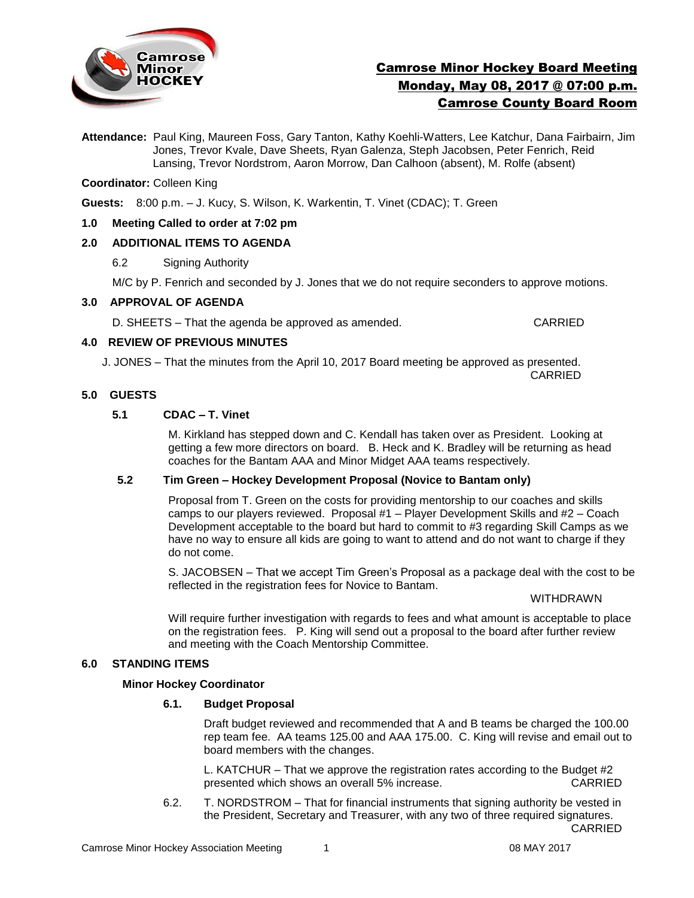

# Camrose Minor Hockey Board Meeting Monday, May 08, 2017 @ 07:00 p.m. Camrose County Board Room

**Attendance:** Paul King, Maureen Foss, Gary Tanton, Kathy Koehli-Watters, Lee Katchur, Dana Fairbairn, Jim Jones, Trevor Kvale, Dave Sheets, Ryan Galenza, Steph Jacobsen, Peter Fenrich, Reid Lansing, Trevor Nordstrom, Aaron Morrow, Dan Calhoon (absent), M. Rolfe (absent)

### **Coordinator:** Colleen King

**Guests:** 8:00 p.m. – J. Kucy, S. Wilson, K. Warkentin, T. Vinet (CDAC); T. Green

### **1.0 Meeting Called to order at 7:02 pm**

### **2.0 ADDITIONAL ITEMS TO AGENDA**

6.2 Signing Authority

M/C by P. Fenrich and seconded by J. Jones that we do not require seconders to approve motions.

### **3.0 APPROVAL OF AGENDA**

D. SHEETS – That the agenda be approved as amended. CARRIED

### **4.0 REVIEW OF PREVIOUS MINUTES**

J. JONES – That the minutes from the April 10, 2017 Board meeting be approved as presented. CARRIED

### **5.0 GUESTS**

# **5.1 CDAC – T. Vinet**

M. Kirkland has stepped down and C. Kendall has taken over as President. Looking at getting a few more directors on board. B. Heck and K. Bradley will be returning as head coaches for the Bantam AAA and Minor Midget AAA teams respectively.

# **5.2 Tim Green – Hockey Development Proposal (Novice to Bantam only)**

Proposal from T. Green on the costs for providing mentorship to our coaches and skills camps to our players reviewed. Proposal #1 – Player Development Skills and #2 – Coach Development acceptable to the board but hard to commit to #3 regarding Skill Camps as we have no way to ensure all kids are going to want to attend and do not want to charge if they do not come.

S. JACOBSEN – That we accept Tim Green's Proposal as a package deal with the cost to be reflected in the registration fees for Novice to Bantam.

#### WITHDRAWN

Will require further investigation with regards to fees and what amount is acceptable to place on the registration fees. P. King will send out a proposal to the board after further review and meeting with the Coach Mentorship Committee.

#### **6.0 STANDING ITEMS**

#### **Minor Hockey Coordinator**

#### **6.1. Budget Proposal**

Draft budget reviewed and recommended that A and B teams be charged the 100.00 rep team fee. AA teams 125.00 and AAA 175.00. C. King will revise and email out to board members with the changes.

L. KATCHUR – That we approve the registration rates according to the Budget #2 presented which shows an overall 5% increase. CARRIED

6.2. T. NORDSTROM – That for financial instruments that signing authority be vested in the President, Secretary and Treasurer, with any two of three required signatures. CARRIED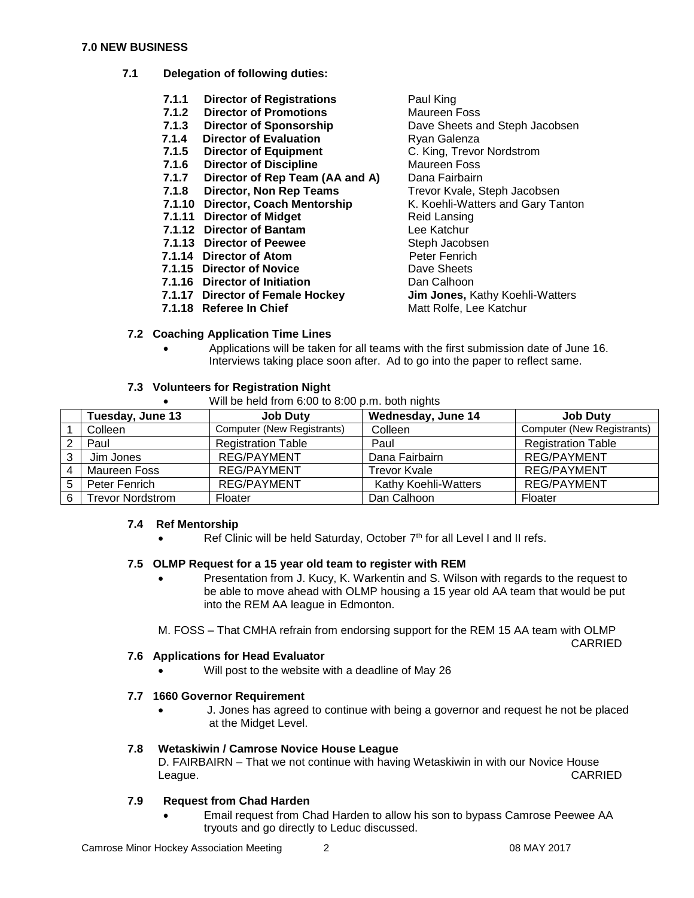#### **7.0 NEW BUSINESS**

- **7.1 Delegation of following duties:**
	- **7.1.1 Director of Registrations** Paul King<br> **7.1.2 Director of Promotions** Maureen Foss
	- **7.1.2 Director of Promotions** Maureen Foss
	- **7.1.3 Director of Sponsorship**
	-
	- **7.1.5 Director of Equipment**
	- **7.1.6 Director of Discipline** Maureen Foss
	- **7.1.7 Director of Rep Team (AA and A)** Dana Fairbairn
	-
	-
	- **7.1.11 Director of Midget** Reid Lansing
	- **7.1.12 Director of Bantam** Lee Katchur
	- **7.1.13 Director of Peewee** Steph Jacobsen
	- **7.1.14 Director of Atom**<br> **7.1.15 Director of Novice Property** Dave Sheets
	- **7.1.15 Director of Novice**
	- **7.1.16 Director of Initiation** Dan Calhoon
	-
	-
	- **7.1.4 Director of Evaluation**<br> **7.1.5 Director of Equipment** C. King, Trevor Nordstrom **7.1.8 Director, Non Rep Teams** Trevor Kvale, Steph Jacobsen **7.1.10 Director, Coach Mentorship K. Koehli-Watters and Gary Tanton 7.1.17 Director of Female Hockey Jim Jones,** Kathy Koehli-Watters **7.1.18 Referee In Chief** Matt Rolfe, Lee Katchur

### **7.2 Coaching Application Time Lines**

 Applications will be taken for all teams with the first submission date of June 16. Interviews taking place soon after. Ad to go into the paper to reflect same.

### **7.3 Volunteers for Registration Night**

Will be held from  $6:00$  to  $8:00$  p.m. both nights

|   | Tuesday, June 13        | <b>Job Duty</b>            | Wednesday, June 14   | <b>Job Duty</b>                   |
|---|-------------------------|----------------------------|----------------------|-----------------------------------|
|   | Colleen                 | Computer (New Registrants) | Colleen              | <b>Computer (New Registrants)</b> |
|   | Paul                    | <b>Registration Table</b>  | Paul                 | <b>Registration Table</b>         |
|   | Jim Jones               | <b>REG/PAYMENT</b>         | Dana Fairbairn       | <b>REG/PAYMENT</b>                |
|   | Maureen Foss            | <b>REG/PAYMENT</b>         | <b>Trevor Kvale</b>  | <b>REG/PAYMENT</b>                |
| 5 | Peter Fenrich           | <b>REG/PAYMENT</b>         | Kathy Koehli-Watters | <b>REG/PAYMENT</b>                |
| 6 | <b>Trevor Nordstrom</b> | Floater                    | Dan Calhoon          | Floater                           |

### **7.4 Ref Mentorship**

Ref Clinic will be held Saturday, October  $7<sup>th</sup>$  for all Level I and II refs.

# **7.5 OLMP Request for a 15 year old team to register with REM**

 Presentation from J. Kucy, K. Warkentin and S. Wilson with regards to the request to be able to move ahead with OLMP housing a 15 year old AA team that would be put into the REM AA league in Edmonton.

M. FOSS – That CMHA refrain from endorsing support for the REM 15 AA team with OLMP

CARRIED

### **7.6 Applications for Head Evaluator**

Will post to the website with a deadline of May 26

# **7.7 1660 Governor Requirement**

 J. Jones has agreed to continue with being a governor and request he not be placed at the Midget Level.

# **7.8 Wetaskiwin / Camrose Novice House League**

D. FAIRBAIRN – That we not continue with having Wetaskiwin in with our Novice House League. CARRIED

# **7.9 Request from Chad Harden**

 Email request from Chad Harden to allow his son to bypass Camrose Peewee AA tryouts and go directly to Leduc discussed.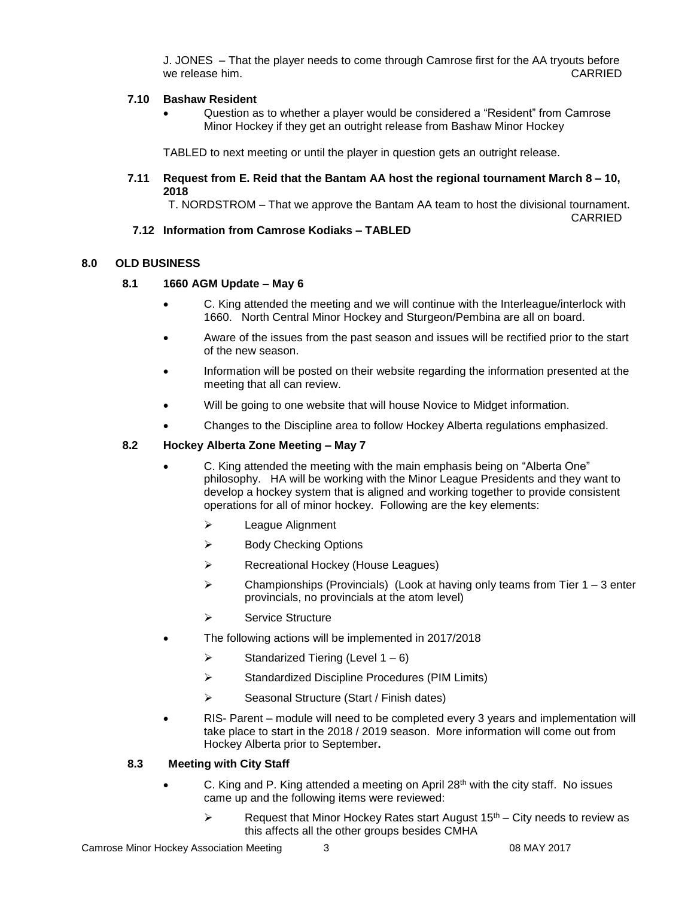J. JONES – That the player needs to come through Camrose first for the AA tryouts before we release him. **CARRIED** 

### **7.10 Bashaw Resident**

 Question as to whether a player would be considered a "Resident" from Camrose Minor Hockey if they get an outright release from Bashaw Minor Hockey

TABLED to next meeting or until the player in question gets an outright release.

#### **7.11 Request from E. Reid that the Bantam AA host the regional tournament March 8 – 10, 2018**

T. NORDSTROM – That we approve the Bantam AA team to host the divisional tournament.

CARRIED

# **7.12 Information from Camrose Kodiaks – TABLED**

### **8.0 OLD BUSINESS**

### **8.1 1660 AGM Update – May 6**

- C. King attended the meeting and we will continue with the Interleague/interlock with 1660. North Central Minor Hockey and Sturgeon/Pembina are all on board.
- Aware of the issues from the past season and issues will be rectified prior to the start of the new season.
- Information will be posted on their website regarding the information presented at the meeting that all can review.
- Will be going to one website that will house Novice to Midget information.
- Changes to the Discipline area to follow Hockey Alberta regulations emphasized.

### **8.2 Hockey Alberta Zone Meeting – May 7**

- C. King attended the meeting with the main emphasis being on "Alberta One" philosophy. HA will be working with the Minor League Presidents and they want to develop a hockey system that is aligned and working together to provide consistent operations for all of minor hockey. Following are the key elements:
	- League Alignment
	- $\triangleright$  Body Checking Options
	- Recreational Hockey (House Leagues)
	- Championships (Provincials)(Look at having only teams from Tier 1 3 enter provincials, no provincials at the atom level)
	- $\triangleright$  Service Structure
- The following actions will be implemented in 2017/2018
	- $\triangleright$  Standarized Tiering (Level 1 6)
	- $\triangleright$  Standardized Discipline Procedures (PIM Limits)
	- $\triangleright$  Seasonal Structure (Start / Finish dates)
- RIS- Parent module will need to be completed every 3 years and implementation will take place to start in the 2018 / 2019 season. More information will come out from Hockey Alberta prior to September**.**

#### **8.3 Meeting with City Staff**

- C. King and P. King attended a meeting on April  $28<sup>th</sup>$  with the city staff. No issues came up and the following items were reviewed:
	- Request that Minor Hockey Rates start August  $15<sup>th</sup>$  City needs to review as this affects all the other groups besides CMHA